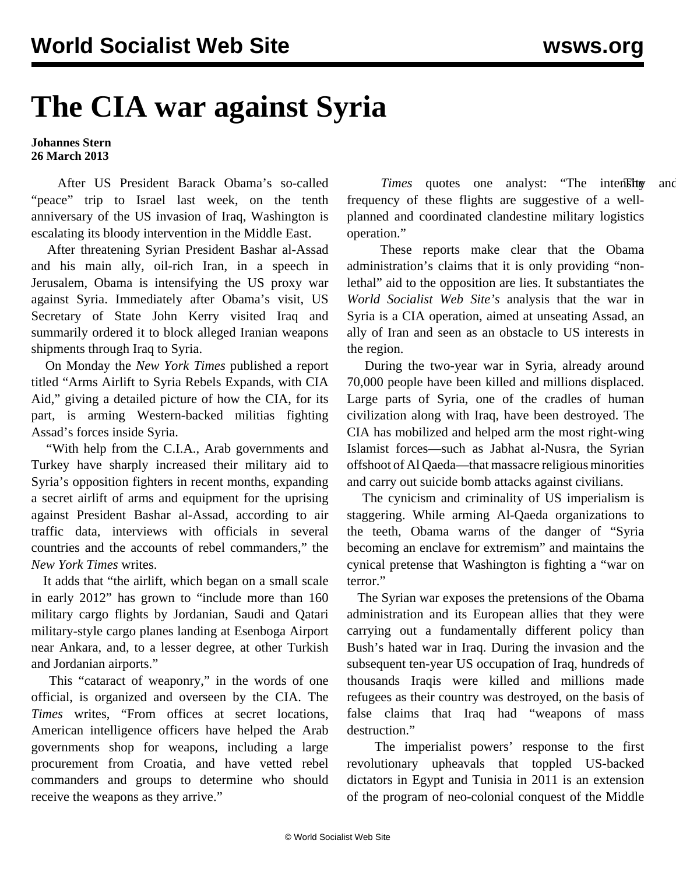## **The CIA war against Syria**

## **Johannes Stern 26 March 2013**

 After US President Barack Obama's so-called "peace" trip to Israel last week, on the tenth anniversary of the US invasion of Iraq, Washington is escalating its bloody intervention in the Middle East.

 After threatening Syrian President Bashar al-Assad and his main ally, oil-rich Iran, in a speech in Jerusalem, Obama is intensifying the US proxy war against Syria. Immediately after Obama's visit, US Secretary of State John Kerry visited Iraq and summarily ordered it to block alleged Iranian weapons shipments through Iraq to Syria.

 On Monday the *New York Times* published a report titled "Arms Airlift to Syria Rebels Expands, with CIA Aid," giving a detailed picture of how the CIA, for its part, is arming Western-backed militias fighting Assad's forces inside Syria.

 "With help from the C.I.A., Arab governments and Turkey have sharply increased their military aid to Syria's opposition fighters in recent months, expanding a secret airlift of arms and equipment for the uprising against President Bashar al-Assad, according to air traffic data, interviews with officials in several countries and the accounts of rebel commanders," the *New York Times* writes.

 It adds that "the airlift, which began on a small scale in early 2012" has grown to "include more than 160 military cargo flights by Jordanian, Saudi and Qatari military-style cargo planes landing at Esenboga Airport near Ankara, and, to a lesser degree, at other Turkish and Jordanian airports."

 This "cataract of weaponry," in the words of one official, is organized and overseen by the CIA. The *Times* writes, "From offices at secret locations, American intelligence officers have helped the Arab governments shop for weapons, including a large procurement from Croatia, and have vetted rebel commanders and groups to determine who should receive the weapons as they arrive."

*Times* quotes one analyst: "The intensity and frequency of these flights are suggestive of a wellplanned and coordinated clandestine military logistics operation."

 These reports make clear that the Obama administration's claims that it is only providing "nonlethal" aid to the opposition are lies. It substantiates the *World Socialist Web Site's* analysis that the war in Syria is a CIA operation, aimed at unseating Assad, an ally of Iran and seen as an obstacle to US interests in the region.

 During the two-year war in Syria, already around 70,000 people have been killed and millions displaced. Large parts of Syria, one of the cradles of human civilization along with Iraq, have been destroyed. The CIA has mobilized and helped arm the most right-wing Islamist forces—such as Jabhat al-Nusra, the Syrian offshoot of Al Qaeda—that massacre religious minorities and carry out suicide bomb attacks against civilians.

 The cynicism and criminality of US imperialism is staggering. While arming Al-Qaeda organizations to the teeth, Obama warns of the danger of "Syria becoming an enclave for extremism" and maintains the cynical pretense that Washington is fighting a "war on terror."

 The Syrian war exposes the pretensions of the Obama administration and its European allies that they were carrying out a fundamentally different policy than Bush's hated war in Iraq. During the invasion and the subsequent ten-year US occupation of Iraq, hundreds of thousands Iraqis were killed and millions made refugees as their country was destroyed, on the basis of false claims that Iraq had "weapons of mass destruction."

 The imperialist powers' response to the first revolutionary upheavals that toppled US-backed dictators in Egypt and Tunisia in 2011 is an extension of the program of neo-colonial conquest of the Middle